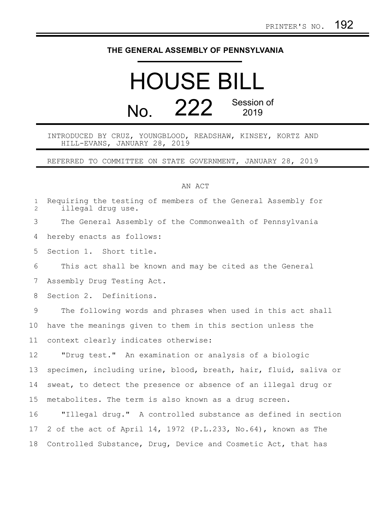## **THE GENERAL ASSEMBLY OF PENNSYLVANIA**

## HOUSE BILL No. 222 Session of 2019

INTRODUCED BY CRUZ, YOUNGBLOOD, READSHAW, KINSEY, KORTZ AND HILL-EVANS, JANUARY 28, 2019

REFERRED TO COMMITTEE ON STATE GOVERNMENT, JANUARY 28, 2019

## AN ACT

| $\mathbf 1$<br>2 | Requiring the testing of members of the General Assembly for<br>illegal drug use. |
|------------------|-----------------------------------------------------------------------------------|
| 3                | The General Assembly of the Commonwealth of Pennsylvania                          |
| 4                | hereby enacts as follows:                                                         |
| 5                | Section 1. Short title.                                                           |
| 6                | This act shall be known and may be cited as the General                           |
| 7                | Assembly Drug Testing Act.                                                        |
| 8                | Section 2. Definitions.                                                           |
| 9                | The following words and phrases when used in this act shall                       |
| 10               | have the meanings given to them in this section unless the                        |
| 11               | context clearly indicates otherwise:                                              |
| 12               | "Drug test." An examination or analysis of a biologic                             |
| 13               | specimen, including urine, blood, breath, hair, fluid, saliva or                  |
| 14               | sweat, to detect the presence or absence of an illegal drug or                    |
| 15               | metabolites. The term is also known as a drug screen.                             |
| 16               | "Illegal drug." A controlled substance as defined in section                      |
| 17               | 2 of the act of April 14, 1972 (P.L.233, No.64), known as The                     |
| 18               | Controlled Substance, Drug, Device and Cosmetic Act, that has                     |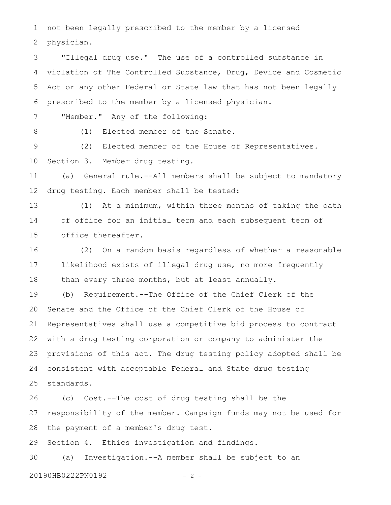not been legally prescribed to the member by a licensed physician. 1 2

"Illegal drug use." The use of a controlled substance in violation of The Controlled Substance, Drug, Device and Cosmetic Act or any other Federal or State law that has not been legally prescribed to the member by a licensed physician. "Member." Any of the following: (1) Elected member of the Senate. (2) Elected member of the House of Representatives. Section 3. Member drug testing. (a) General rule.--All members shall be subject to mandatory drug testing. Each member shall be tested: (1) At a minimum, within three months of taking the oath of office for an initial term and each subsequent term of office thereafter. (2) On a random basis regardless of whether a reasonable likelihood exists of illegal drug use, no more frequently than every three months, but at least annually. (b) Requirement.--The Office of the Chief Clerk of the Senate and the Office of the Chief Clerk of the House of Representatives shall use a competitive bid process to contract with a drug testing corporation or company to administer the provisions of this act. The drug testing policy adopted shall be consistent with acceptable Federal and State drug testing 3 4 5 6 7 8 9 10 11 12 13 14 15 16 17 18 19 20 21 22 23 24

standards. 25

(c) Cost.--The cost of drug testing shall be the responsibility of the member. Campaign funds may not be used for the payment of a member's drug test. 26 27 28

Section 4. Ethics investigation and findings. 29

(a) Investigation.--A member shall be subject to an 30

20190HB0222PN0192 - 2 -